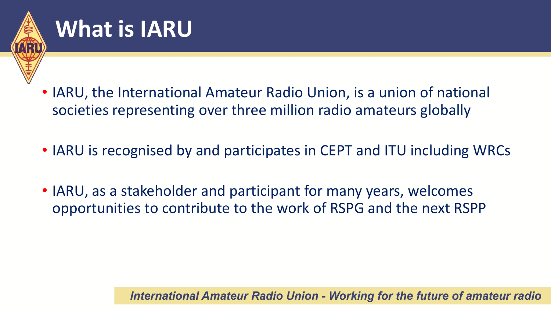

### **What is IARU**

- IARU, the International Amateur Radio Union, is a union of national societies representing over three million radio amateurs globally
- IARU is recognised by and participates in CEPT and ITU including WRCs
- IARU, as a stakeholder and participant for many years, welcomes opportunities to contribute to the work of RSPG and the next RSPP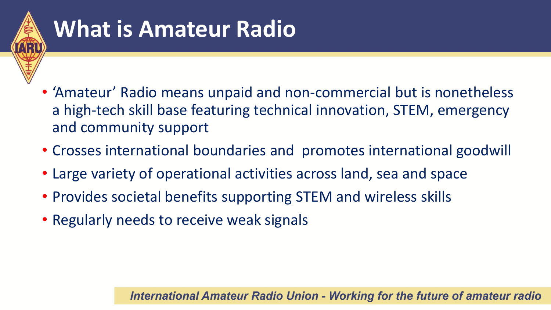

## **What is Amateur Radio**

- 'Amateur' Radio means unpaid and non-commercial but is nonetheless a high-tech skill base featuring technical innovation, STEM, emergency and community support
- Crosses international boundaries and promotes international goodwill
- Large variety of operational activities across land, sea and space
- Provides societal benefits supporting STEM and wireless skills
- Regularly needs to receive weak signals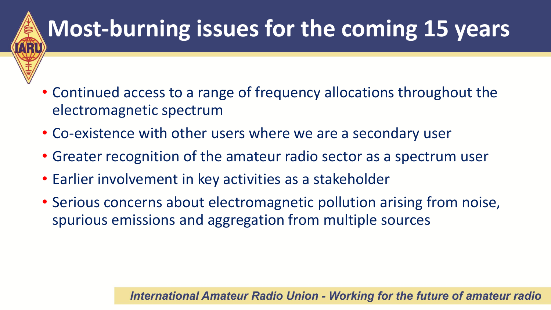# **Most-burning issues for the coming 15 years**

- Continued access to a range of frequency allocations throughout the electromagnetic spectrum
- Co-existence with other users where we are a secondary user
- Greater recognition of the amateur radio sector as a spectrum user
- Earlier involvement in key activities as a stakeholder
- Serious concerns about electromagnetic pollution arising from noise, spurious emissions and aggregation from multiple sources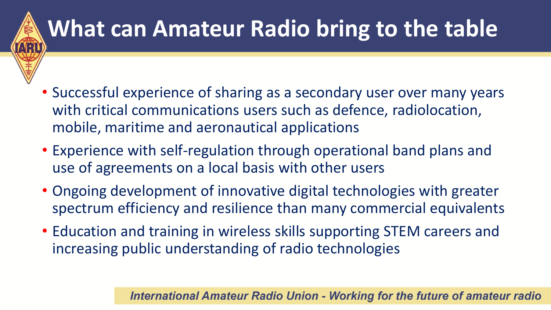

## **What can Amateur Radio bring to the table**

- Successful experience of sharing as a secondary user over many years with critical communications users such as defence, radiolocation, mobile, maritime and aeronautical applications
- Experience with self-regulation through operational band plans and use of agreements on a local basis with other users
- Ongoing development of innovative digital technologies with greater spectrum efficiency and resilience than many commercial equivalents
- Education and training in wireless skills supporting STEM careers and increasing public understanding of radio technologies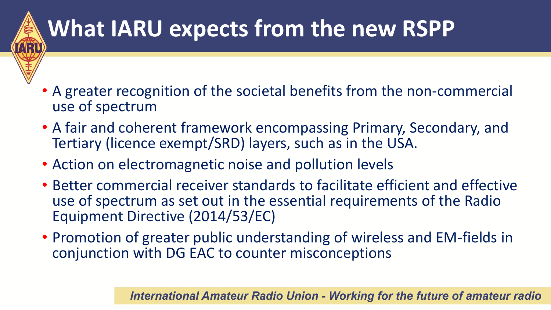## **What IARU expects from the new RSPP**

- A greater recognition of the societal benefits from the non-commercial use of spectrum
- A fair and coherent framework encompassing Primary, Secondary, and Tertiary (licence exempt/SRD) layers, such as in the USA.
- Action on electromagnetic noise and pollution levels
- Better commercial receiver standards to facilitate efficient and effective use of spectrum as set out in the essential requirements of the Radio Equipment Directive (2014/53/EC)
- Promotion of greater public understanding of wireless and EM-fields in conjunction with DG EAC to counter misconceptions